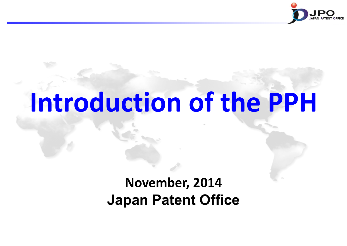

# **Introduction of the PPH**

## **November, 2014 Japan Patent Office**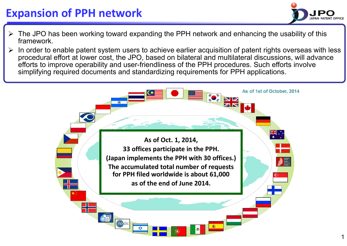## **Expansion of PPH network**

- The JPO has been working toward expanding the PPH network and enhancing the usability of this framework.
- In order to enable patent system users to achieve earlier acquisition of patent rights overseas with less procedural effort at lower cost, the JPO, based on bilateral and multilateral discussions, will advance efforts to improve operability and user-friendliness of the PPH procedures. Such efforts involve simplifying required documents and standardizing requirements for PPH applications.



APAN PATENT OFFICE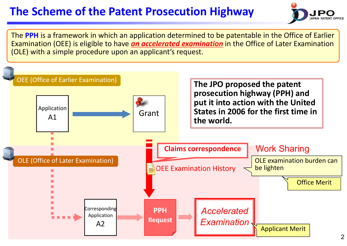## **The Scheme of the Patent Prosecution Highway**



The **PPH** is a framework in which an application determined to be patentable in the Office of Earlier Examination (OEE) is eligible to have *an accelerated examination* in the Office of Later Examination (OLE) with a simple procedure upon an applicant's request.

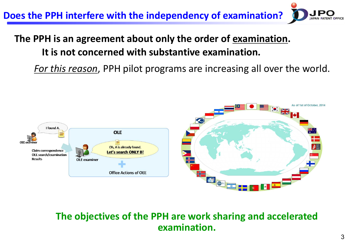**Does the PPH interfere with the independency of examination?**

### **The PPH is an agreement about only the order of examination. It is not concerned with substantive examination.**

*For this reason*, PPH pilot programs are increasing all over the world.



#### **The objectives of the PPH are work sharing and accelerated examination.**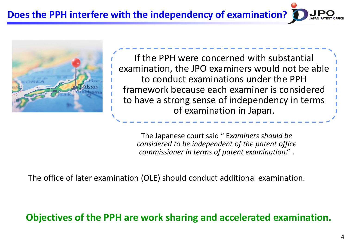**Does the PPH interfere with the independency of examination?**



If the PPH were concerned with substantial examination, the JPO examiners would not be able to conduct examinations under the PPH framework because each examiner is considered to have a strong sense of independency in terms of examination in Japan.

The Japanese court said " E*xaminers should be considered to be independent of the patent office commissioner in terms of patent examination*." .

The office of later examination (OLE) should conduct additional examination.

**Objectives of the PPH are work sharing and accelerated examination.**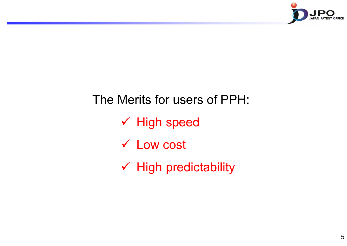

# The Merits for users of PPH:  $\checkmark$  High speed Low cost  $\checkmark$  High predictability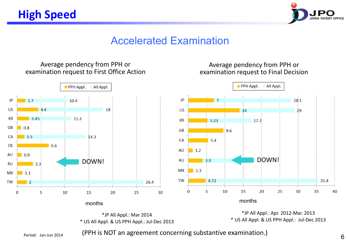

### Accelerated Examination

#### Average pendency from PPH or examination request to First Office Action



months

\*JP All Appl.: Mar 2014 \* US All Appl. & US PPH Appl.: Jul-Dec 2013

#### Average pendency from PPH or examination request to Final Decision



\*JP All Appl.: Apr. 2012-Mar. 2013 \* US All Appl. & US PPH Appl.: Jul-Dec 2013

Period: Jan-Jun 2014

(PPH is NOT an agreement concerning substantive examination.)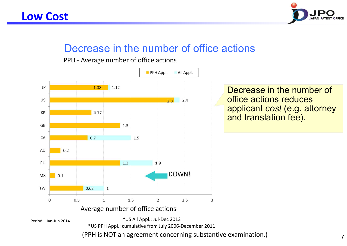

### Decrease in the number of office actions

PPH - Average number of office actions

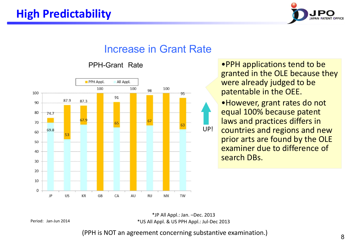

### Increase in Grant Rate



#### PPH-Grant Rate

•PPH applications tend to be granted in the OLE because they were already judged to be patentable in the OEE.

•However, grant rates do not equal 100% because patent laws and practices differs in countries and regions and new prior arts are found by the OLE examiner due to difference of search DBs.

\*JP All Appl.: Jan. –Dec. 2013 \*US All Appl. & US PPH Appl.: Jul-Dec 2013

Period: Jan-Jun 2014

(PPH is NOT an agreement concerning substantive examination.)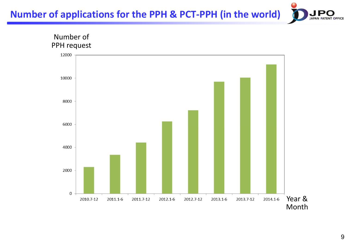**Number of applications for the PPH & PCT-PPH (in the world)**



**APAN** 

**PATENT OFFICE**